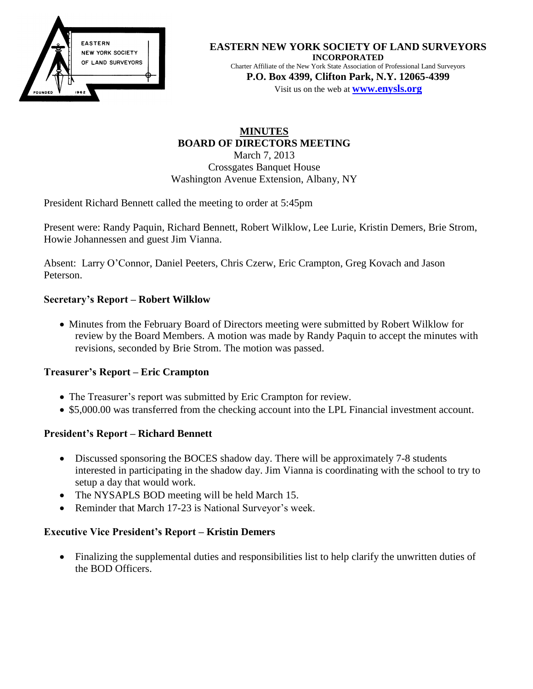

#### **EASTERN NEW YORK SOCIETY OF LAND SURVEYORS INCORPORATED** Charter Affiliate of the New York State Association of Professional Land Surveyors **P.O. Box 4399, Clifton Park, N.Y. 12065-4399**

Visit us on the web at **[www.e](http://www.enysls.org/)nysls.org**

# **MINUTES BOARD OF DIRECTORS MEETING** March 7, 2013 Crossgates Banquet House Washington Avenue Extension, Albany, NY

President Richard Bennett called the meeting to order at 5:45pm

Present were: Randy Paquin, Richard Bennett, Robert Wilklow, Lee Lurie, Kristin Demers, Brie Strom, Howie Johannessen and guest Jim Vianna.

Absent: Larry O'Connor, Daniel Peeters, Chris Czerw, Eric Crampton, Greg Kovach and Jason Peterson.

# **Secretary's Report – Robert Wilklow**

• Minutes from the February Board of Directors meeting were submitted by Robert Wilklow for review by the Board Members. A motion was made by Randy Paquin to accept the minutes with revisions, seconded by Brie Strom. The motion was passed.

### **Treasurer's Report – Eric Crampton**

- The Treasurer's report was submitted by Eric Crampton for review.
- \$5,000.00 was transferred from the checking account into the LPL Financial investment account.

# **President's Report – Richard Bennett**

- Discussed sponsoring the BOCES shadow day. There will be approximately 7-8 students interested in participating in the shadow day. Jim Vianna is coordinating with the school to try to setup a day that would work.
- The NYSAPLS BOD meeting will be held March 15.
- Reminder that March 17-23 is National Surveyor's week.

### **Executive Vice President's Report – Kristin Demers**

• Finalizing the supplemental duties and responsibilities list to help clarify the unwritten duties of the BOD Officers.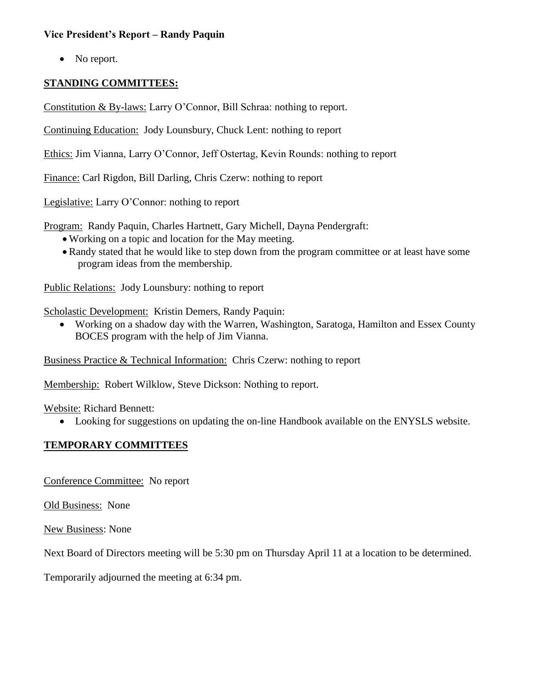### **Vice President's Report – Randy Paquin**

• No report.

## **STANDING COMMITTEES:**

Constitution & By-laws: Larry O'Connor, Bill Schraa: nothing to report.

Continuing Education: Jody Lounsbury, Chuck Lent: nothing to report

Ethics: Jim Vianna, Larry O'Connor, Jeff Ostertag, Kevin Rounds: nothing to report

Finance: Carl Rigdon, Bill Darling, Chris Czerw: nothing to report

Legislative: Larry O'Connor: nothing to report

Program: Randy Paquin, Charles Hartnett, Gary Michell, Dayna Pendergraft:

- Working on a topic and location for the May meeting.
- Randy stated that he would like to step down from the program committee or at least have some program ideas from the membership.

Public Relations: Jody Lounsbury: nothing to report

Scholastic Development: Kristin Demers, Randy Paquin:

 Working on a shadow day with the Warren, Washington, Saratoga, Hamilton and Essex County BOCES program with the help of Jim Vianna.

Business Practice & Technical Information: Chris Czerw: nothing to report

Membership: Robert Wilklow, Steve Dickson: Nothing to report.

Website: Richard Bennett:

Looking for suggestions on updating the on-line Handbook available on the ENYSLS website.

### **TEMPORARY COMMITTEES**

Conference Committee: No report

Old Business: None

New Business: None

Next Board of Directors meeting will be 5:30 pm on Thursday April 11 at a location to be determined.

Temporarily adjourned the meeting at 6:34 pm.